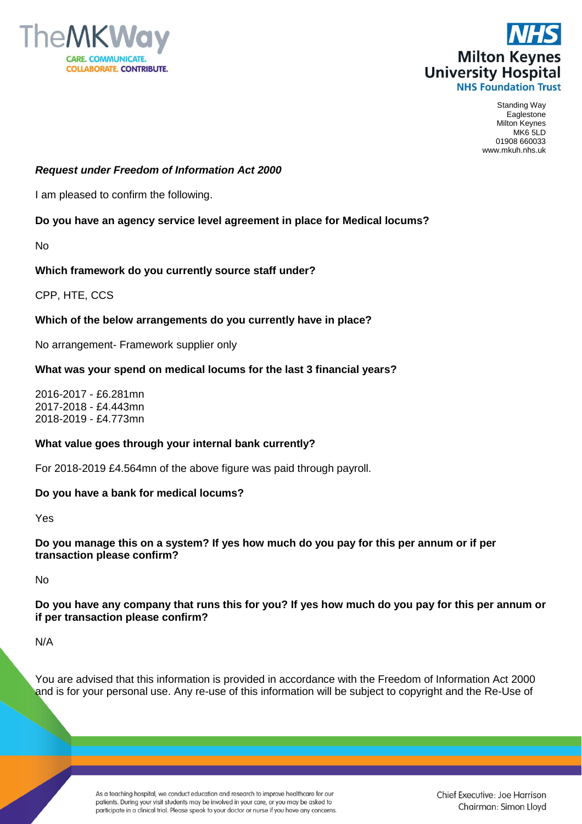



Standing Way Eaglestone Milton Keynes MK6 5LD 01908 660033 www.mkuh.nhs.uk

# *Request under Freedom of Information Act 2000*

I am pleased to confirm the following.

## **Do you have an agency service level agreement in place for Medical locums?**

No

## **Which framework do you currently source staff under?**

CPP, HTE, CCS

## **Which of the below arrangements do you currently have in place?**

No arrangement- Framework supplier only

## **What was your spend on medical locums for the last 3 financial years?**

2016-2017 - £6.281mn 2017-2018 - £4.443mn 2018-2019 - £4.773mn

### **What value goes through your internal bank currently?**

For 2018-2019 £4.564mn of the above figure was paid through payroll.

### **Do you have a bank for medical locums?**

Yes

**Do you manage this on a system? If yes how much do you pay for this per annum or if per transaction please confirm?** 

No

**Do you have any company that runs this for you? If yes how much do you pay for this per annum or if per transaction please confirm?**

N/A

You are advised that this information is provided in accordance with the Freedom of Information Act 2000 and is for your personal use. Any re-use of this information will be subject to copyright and the Re-Use of

> As a teaching hospital, we conduct education and research to improve healthcare for our patients. During your visit students may be involved in your care, or you may be asked to participate in a clinical trial. Please speak to your doctor or nurse if you have any concerns.

Chief Executive: Joe Harrison Chairman: Simon Lloyd